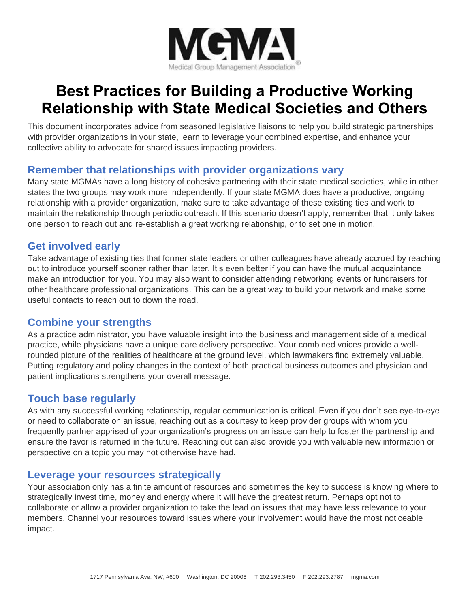

# **Best Practices for Building a Productive Working Relationship with State Medical Societies and Others**

This document incorporates advice from seasoned legislative liaisons to help you build strategic partnerships with provider organizations in your state, learn to leverage your combined expertise, and enhance your collective ability to advocate for shared issues impacting providers.

## **Remember that relationships with provider organizations vary**

Many state MGMAs have a long history of cohesive partnering with their state medical societies, while in other states the two groups may work more independently. If your state MGMA does have a productive, ongoing relationship with a provider organization, make sure to take advantage of these existing ties and work to maintain the relationship through periodic outreach. If this scenario doesn't apply, remember that it only takes one person to reach out and re-establish a great working relationship, or to set one in motion.

## **Get involved early**

Take advantage of existing ties that former state leaders or other colleagues have already accrued by reaching out to introduce yourself sooner rather than later. It's even better if you can have the mutual acquaintance make an introduction for you. You may also want to consider attending networking events or fundraisers for other healthcare professional organizations. This can be a great way to build your network and make some useful contacts to reach out to down the road.

## **Combine your strengths**

As a practice administrator, you have valuable insight into the business and management side of a medical practice, while physicians have a unique care delivery perspective. Your combined voices provide a wellrounded picture of the realities of healthcare at the ground level, which lawmakers find extremely valuable. Putting regulatory and policy changes in the context of both practical business outcomes and physician and patient implications strengthens your overall message.

# **Touch base regularly**

As with any successful working relationship, regular communication is critical. Even if you don't see eye-to-eye or need to collaborate on an issue, reaching out as a courtesy to keep provider groups with whom you frequently partner apprised of your organization's progress on an issue can help to foster the partnership and ensure the favor is returned in the future. Reaching out can also provide you with valuable new information or perspective on a topic you may not otherwise have had.

## **Leverage your resources strategically**

Your association only has a finite amount of resources and sometimes the key to success is knowing where to strategically invest time, money and energy where it will have the greatest return. Perhaps opt not to collaborate or allow a provider organization to take the lead on issues that may have less relevance to your members. Channel your resources toward issues where your involvement would have the most noticeable impact.